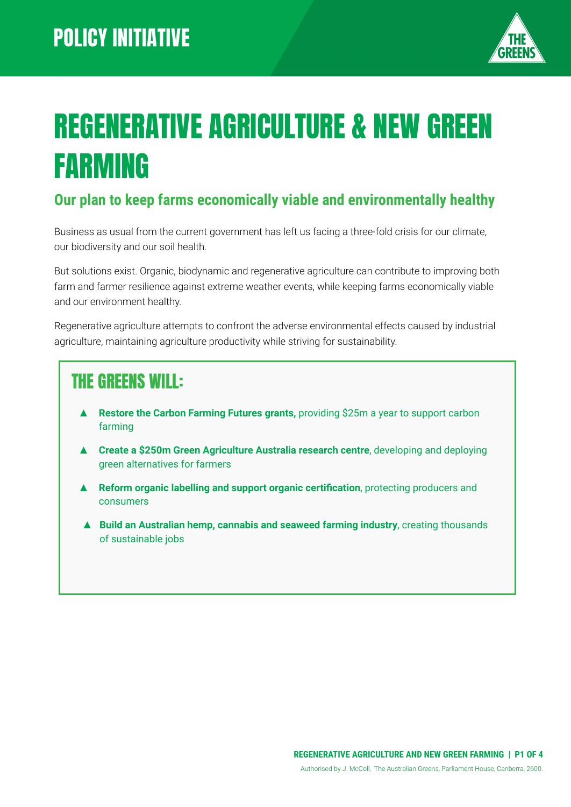

# REGENERATIVE AGRICULTURE & NEW GREEN FARMING

#### **Our plan to keep farms economically viable and environmentally healthy**

Business as usual from the current government has left us facing a three-fold crisis for our climate, our biodiversity and our soil health.

But solutions exist. Organic, biodynamic and regenerative agriculture can contribute to improving both farm and farmer resilience against extreme weather events, while keeping farms economically viable and our environment healthy.

Regenerative agriculture attempts to confront the adverse environmental effects caused by industrial agriculture, maintaining agriculture productivity while striving for sustainability.

### THE GREENS WILL:

- **Restore the Carbon Farming Futures grants, providing \$25m a year to support carbon** farming
- ▲ **Create a \$250m Green Agriculture Australia research centre**, developing and deploying green alternatives for farmers
- ▲ **Reform organic labelling and support organic certification**, protecting producers and consumers
- ▲ **Build an Australian hemp, cannabis and seaweed farming industry**, creating thousands of sustainable jobs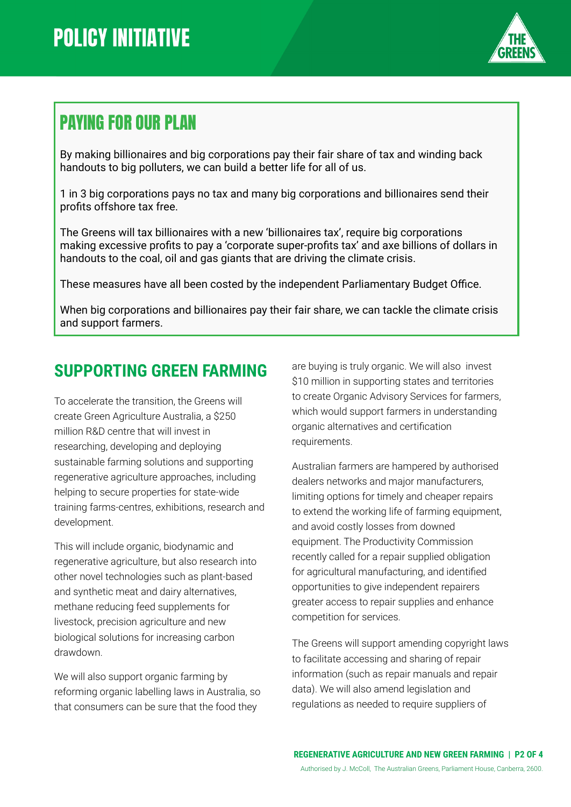

## PAYING FOR OUR PLAN

By making billionaires and big corporations pay their fair share of tax and winding back handouts to big polluters, we can build a better life for all of us.

1 in 3 big corporations pays no tax and many big corporations and billionaires send their profits offshore tax free.

The Greens will tax billionaires with a new 'billionaires tax', require big corporations making excessive profits to pay a 'corporate super-profits tax' and axe billions of dollars in handouts to the coal, oil and gas giants that are driving the climate crisis.

These measures have all been costed by the independent Parliamentary Budget Office.

When big corporations and billionaires pay their fair share, we can tackle the climate crisis and support farmers.

### **SUPPORTING GREEN FARMING**

To accelerate the transition, the Greens will create Green Agriculture Australia, a \$250 million R&D centre that will invest in researching, developing and deploying sustainable farming solutions and supporting regenerative agriculture approaches, including helping to secure properties for state-wide training farms-centres, exhibitions, research and development.

This will include organic, biodynamic and regenerative agriculture, but also research into other novel technologies such as plant-based and synthetic meat and dairy alternatives, methane reducing feed supplements for livestock, precision agriculture and new biological solutions for increasing carbon drawdown.

We will also support organic farming by reforming organic labelling laws in Australia, so that consumers can be sure that the food they

are buying is truly organic. We will also invest \$10 million in supporting states and territories to create Organic Advisory Services for farmers, which would support farmers in understanding organic alternatives and certification requirements.

Australian farmers are hampered by authorised dealers networks and major manufacturers, limiting options for timely and cheaper repairs to extend the working life of farming equipment, and avoid costly losses from downed equipment. The Productivity Commission recently called for a repair supplied obligation for agricultural manufacturing, and identified opportunities to give independent repairers greater access to repair supplies and enhance competition for services.

The Greens will support amending copyright laws to facilitate accessing and sharing of repair information (such as repair manuals and repair data). We will also amend legislation and regulations as needed to require suppliers of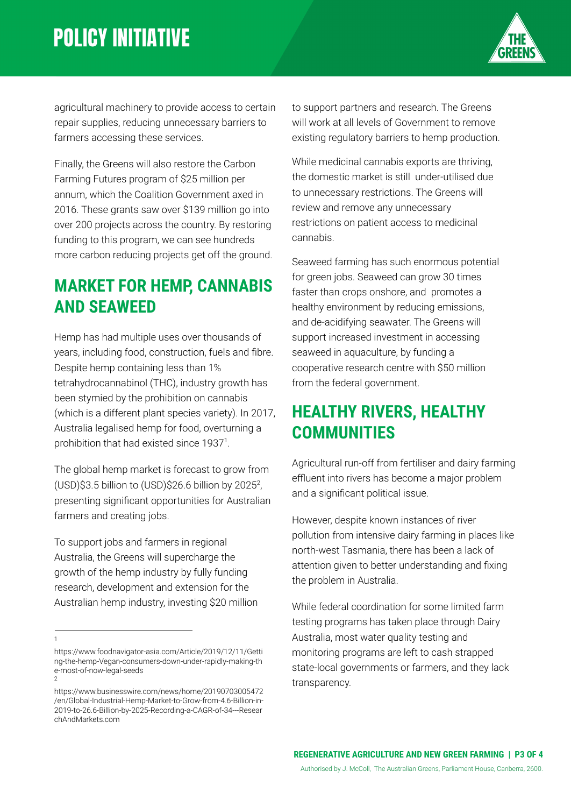# **POLICY INITIATIVE**



agricultural machinery to provide access to certain repair supplies, reducing unnecessary barriers to farmers accessing these services.

Finally, the Greens will also restore the Carbon Farming Futures program of \$25 million per annum, which the Coalition Government axed in 2016. These grants saw over \$139 million go into over 200 projects across the country. By restoring funding to this program, we can see hundreds more carbon reducing projects get off the ground.

#### **MARKET FOR HEMP, CANNABIS AND SEAWEED**

Hemp has had multiple uses over thousands of years, including food, construction, fuels and fibre. Despite hemp containing less than 1% tetrahydrocannabinol (THC), industry growth has been stymied by the prohibition on cannabis (which is a different plant species variety). In 2017, Australia legalised hemp for food, overturning a prohibition that had existed since 1937<sup>1</sup>.

The global hemp market is forecast to grow from  $(USD)$ \$3.5 billion to  $(USD)$ \$26.6 billion by 2025<sup>2</sup>, presenting significant opportunities for Australian farmers and creating jobs.

To support jobs and farmers in regional Australia, the Greens will supercharge the growth of the hemp industry by fully funding research, development and extension for the Australian hemp industry, investing \$20 million

1

to support partners and research. The Greens will work at all levels of Government to remove existing regulatory barriers to hemp production.

While medicinal cannabis exports are thriving, the domestic market is still under-utilised due to unnecessary restrictions. The Greens will review and remove any unnecessary restrictions on patient access to medicinal cannabis.

Seaweed farming has such enormous potential for green jobs. Seaweed can grow 30 times faster than crops onshore, and promotes a healthy environment by reducing emissions, and de-acidifying seawater. The Greens will support increased investment in accessing seaweed in aquaculture, by funding a cooperative research centre with \$50 million from the federal government.

### **HEALTHY RIVERS, HEALTHY COMMUNITIES**

Agricultural run-off from fertiliser and dairy farming effluent into rivers has become a major problem and a significant political issue.

However, despite known instances of river pollution from intensive dairy farming in places like north-west Tasmania, there has been a lack of attention given to better understanding and fixing the problem in Australia.

While federal coordination for some limited farm testing programs has taken place through Dairy Australia, most water quality testing and monitoring programs are left to cash strapped state-local governments or farmers, and they lack transparency.

<sup>2</sup> https://www.foodnavigator-asia.com/Article/2019/12/11/Getti ng-the-hemp-Vegan-consumers-down-under-rapidly-making-th e-most-of-now-legal-seeds

https://www.businesswire.com/news/home/20190703005472 /en/Global-Industrial-Hemp-Market-to-Grow-from-4.6-Billion-in-2019-to-26.6-Billion-by-2025-Recording-a-CAGR-of-34---Resear chAndMarkets.com